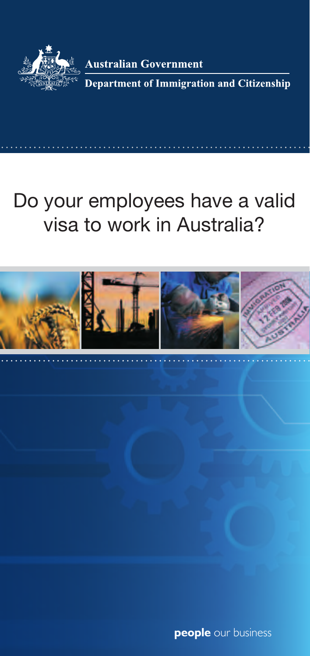

**Australian Government** 

**Department of Immigration and Citizenship** 

# Do your employees have a valid visa to work in Australia?



**people** our business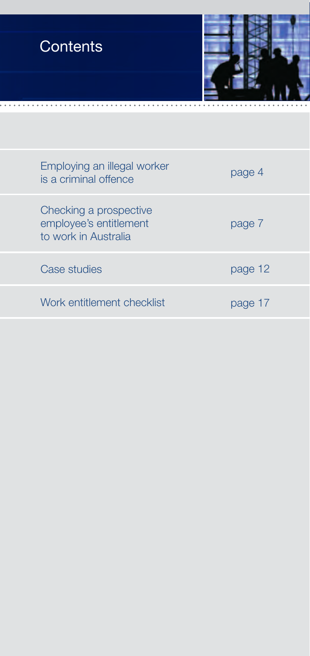| <b>Contents</b>                                                          |         |
|--------------------------------------------------------------------------|---------|
| Employing an illegal worker<br>is a criminal offence                     | page 4  |
| Checking a prospective<br>employee's entitlement<br>to work in Australia | page 7  |
| Case studies                                                             | page 12 |
| Work entitlement checklist                                               | page 17 |
|                                                                          |         |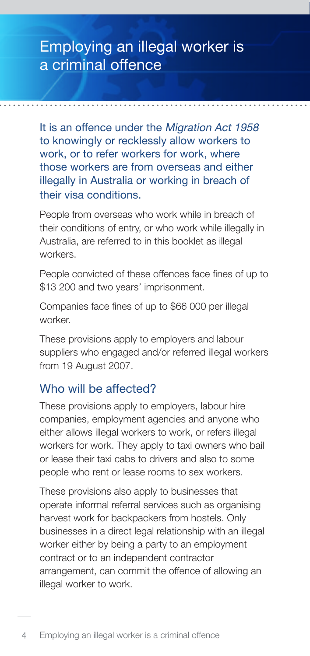## Employing an illegal worker is a criminal offence

It is an offence under the Migration Act 1958 to knowingly or recklessly allow workers to work, or to refer workers for work, where those workers are from overseas and either illegally in Australia or working in breach of their visa conditions.

People from overseas who work while in breach of their conditions of entry, or who work while illegally in Australia, are referred to in this booklet as illegal workers.

People convicted of these offences face fines of up to \$13 200 and two years' imprisonment.

Companies face fines of up to \$66 000 per illegal worker

These provisions apply to employers and labour suppliers who engaged and/or referred illegal workers from 19 August 2007.

#### Who will be affected?

These provisions apply to employers, labour hire companies, employment agencies and anyone who either allows illegal workers to work, or refers illegal workers for work. They apply to taxi owners who bail or lease their taxi cabs to drivers and also to some people who rent or lease rooms to sex workers.

These provisions also apply to businesses that operate informal referral services such as organising harvest work for backpackers from hostels. Only businesses in a direct legal relationship with an illegal worker either by being a party to an employment contract or to an independent contractor arrangement, can commit the offence of allowing an illegal worker to work.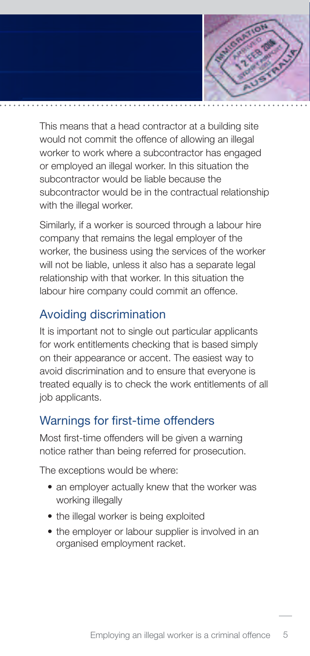

Similarly, if a worker is sourced through a labour hire company that remains the legal employer of the worker, the business using the services of the worker will not be liable, unless it also has a separate legal relationship with that worker. In this situation the labour hire company could commit an offence.

## Avoiding discrimination

It is important not to single out particular applicants for work entitlements checking that is based simply on their appearance or accent. The easiest way to avoid discrimination and to ensure that everyone is treated equally is to check the work entitlements of all job applicants.

#### Warnings for first-time offenders

Most first-time offenders will be given a warning notice rather than being referred for prosecution.

The exceptions would be where:

- an employer actually knew that the worker was working illegally
- the illegal worker is being exploited
- the employer or labour supplier is involved in an organised employment racket.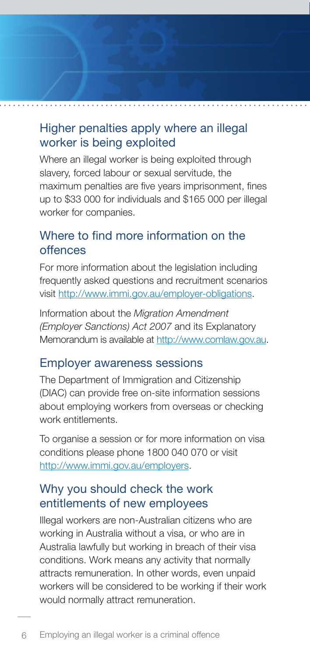## Higher penalties apply where an illegal worker is being exploited

Where an illegal worker is being exploited through slavery, forced labour or sexual servitude, the maximum penalties are five years imprisonment, fines up to \$33 000 for individuals and \$165 000 per illegal worker for companies.

## Where to find more information on the offences

For more information about the legislation including frequently asked questions and recruitment scenarios visit http://www.immi.gov.au/employer-obligations.

Information about the *Migration Amendment (Employer Sanctions) Act 2007* and its Explanatory Memorandum is available at http://www.comlaw.gov.au.

#### Employer awareness sessions

The Department of Immigration and Citizenship (DIAC) can provide free on-site information sessions about employing workers from overseas or checking work entitlements.

To organise a session or for more information on visa conditions please phone 1800 040 070 or visit http://www.immi.gov.au/employers.

#### Why you should check the work entitlements of new employees

Illegal workers are non-Australian citizens who are working in Australia without a visa, or who are in Australia lawfully but working in breach of their visa conditions. Work means any activity that normally attracts remuneration. In other words, even unpaid workers will be considered to be working if their work would normally attract remuneration.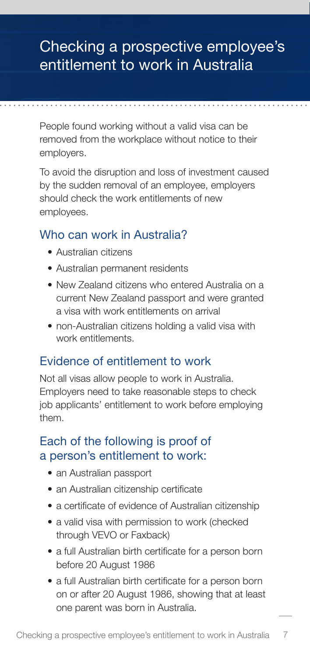## Checking a prospective employee's entitlement to work in Australia

People found working without a valid visa can be removed from the workplace without notice to their employers.

To avoid the disruption and loss of investment caused by the sudden removal of an employee, employers should check the work entitlements of new employees.

## Who can work in Australia?

- • Australian citizens
- Australian permanent residents
- New Zealand citizens who entered Australia on a current New Zealand passport and were granted a visa with work entitlements on arrival
- non-Australian citizens holding a valid visa with work entitlements.

#### Evidence of entitlement to work

Not all visas allow people to work in Australia. Employers need to take reasonable steps to check job applicants' entitlement to work before employing them.

#### Each of the following is proof of a person's entitlement to work:

- an Australian passport
- an Australian citizenship certificate
- a certificate of evidence of Australian citizenship
- a valid visa with permission to work (checked through VEVO or Faxback)
- a full Australian birth certificate for a person born before 20 August 1986
- a full Australian birth certificate for a person born on or after 20 August 1986, showing that at least one parent was born in Australia.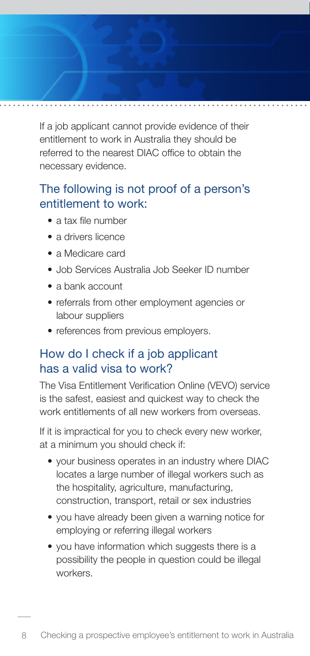If a job applicant cannot provide evidence of their entitlement to work in Australia they should be referred to the nearest DIAC office to obtain the necessary evidence.

## The following is not proof of a person's entitlement to work:

- • a tax file number
- a drivers licence
- • a Medicare card
- Job Services Australia Job Seeker ID number
- a bank account
- referrals from other employment agencies or labour suppliers
- references from previous employers.

## How do I check if a job applicant has a valid visa to work?

The Visa Entitlement Verification Online (VEVO) service is the safest, easiest and quickest way to check the work entitlements of all new workers from overseas.

If it is impractical for you to check every new worker, at a minimum you should check if:

- your business operates in an industry where DIAC locates a large number of illegal workers such as the hospitality, agriculture, manufacturing, construction, transport, retail or sex industries
- you have already been given a warning notice for employing or referring illegal workers
- you have information which suggests there is a possibility the people in question could be illegal workers.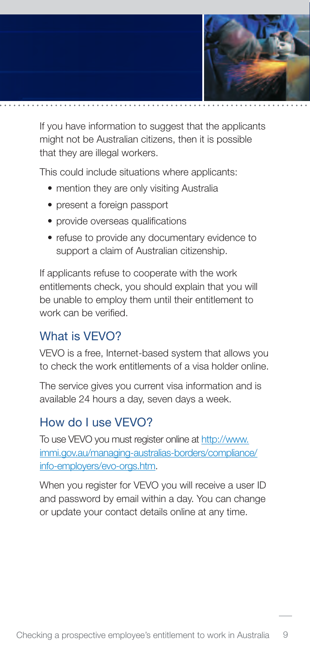

If you have information to suggest that the applicants might not be Australian citizens, then it is possible that they are illegal workers.

This could include situations where applicants:

- mention they are only visiting Australia
- present a foreign passport
- provide overseas qualifications
- refuse to provide any documentary evidence to support a claim of Australian citizenship.

If applicants refuse to cooperate with the work entitlements check, you should explain that you will be unable to employ them until their entitlement to work can be verified.

## What is VEVO?

VEVO is a free, Internet-based system that allows you to check the work entitlements of a visa holder online.

The service gives you current visa information and is available 24 hours a day, seven days a week.

## How do I use VEVO?

To use VEVO you must register online at http://www. immi.gov.au/managing-australias-borders/compliance/ info-employers/evo-orgs.htm.

When you register for VEVO you will receive a user ID and password by email within a day. You can change or update your contact details online at any time.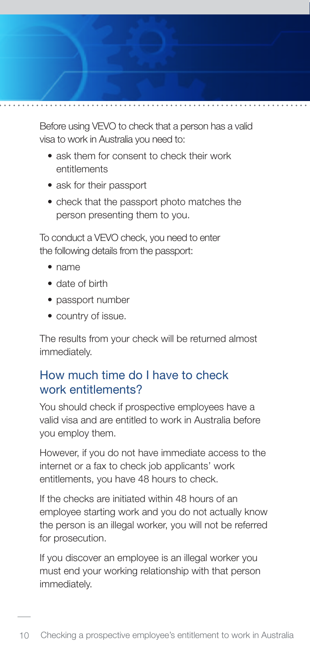Before using VEVO to check that a person has a valid visa to work in Australia you need to:

- ask them for consent to check their work entitlements
- ask for their passport
- check that the passport photo matches the person presenting them to you.

To conduct a VEVO check, you need to enter the following details from the passport:

- • name
- date of birth
- passport number
- country of issue.

The results from your check will be returned almost immediately.

## How much time do I have to check work entitlements?

You should check if prospective employees have a valid visa and are entitled to work in Australia before you employ them.

However, if you do not have immediate access to the internet or a fax to check job applicants' work entitlements, you have 48 hours to check.

If the checks are initiated within 48 hours of an employee starting work and you do not actually know the person is an illegal worker, you will not be referred for prosecution.

If you discover an employee is an illegal worker you must end your working relationship with that person immediately.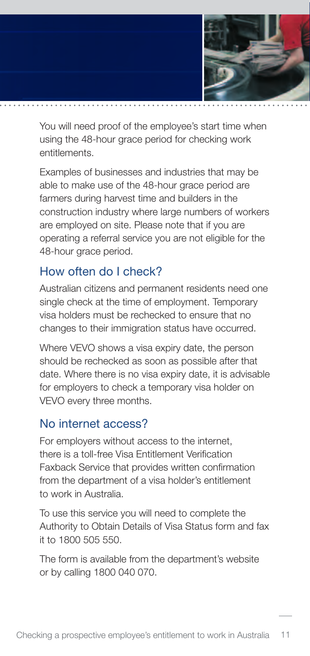

You will need proof of the employee's start time when using the 48-hour grace period for checking work entitlements.

Examples of businesses and industries that may be able to make use of the 48-hour grace period are farmers during harvest time and builders in the construction industry where large numbers of workers are employed on site. Please note that if you are operating a referral service you are not eligible for the 48-hour grace period.

## How often do I check?

Australian citizens and permanent residents need one single check at the time of employment. Temporary visa holders must be rechecked to ensure that no changes to their immigration status have occurred.

Where VEVO shows a visa expiry date, the person should be rechecked as soon as possible after that date. Where there is no visa expiry date, it is advisable for employers to check a temporary visa holder on VEVO every three months.

#### No internet access?

For employers without access to the internet, there is a toll-free Visa Entitlement Verification Faxback Service that provides written confirmation from the department of a visa holder's entitlement to work in Australia.

To use this service you will need to complete the Authority to Obtain Details of Visa Status form and fax it to 1800 505 550.

The form is available from the department's website or by calling 1800 040 070.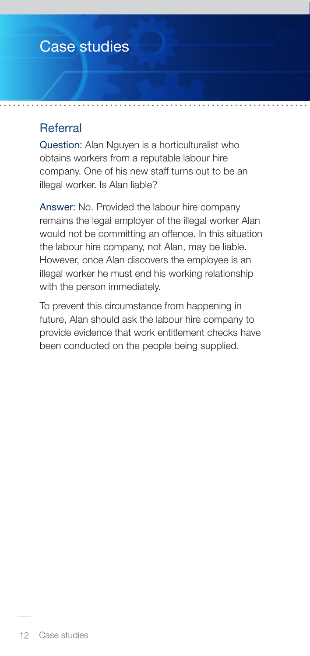## Case studies

#### Referral

Question: Alan Nguyen is a horticulturalist who obtains workers from a reputable labour hire company. One of his new staff turns out to be an illegal worker. Is Alan liable?

Answer: No. Provided the labour hire company remains the legal employer of the illegal worker Alan would not be committing an offence. In this situation the labour hire company, not Alan, may be liable. However, once Alan discovers the employee is an illegal worker he must end his working relationship with the person immediately.

To prevent this circumstance from happening in future, Alan should ask the labour hire company to provide evidence that work entitlement checks have been conducted on the people being supplied.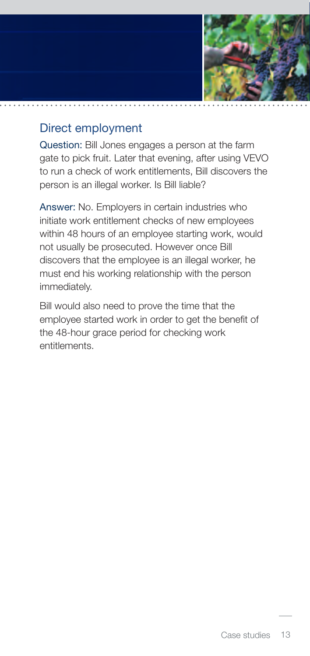

## Direct employment

Question: Bill Jones engages a person at the farm gate to pick fruit. Later that evening, after using VEVO to run a check of work entitlements, Bill discovers the person is an illegal worker. Is Bill liable?

Answer: No. Employers in certain industries who initiate work entitlement checks of new employees within 48 hours of an employee starting work, would not usually be prosecuted. However once Bill discovers that the employee is an illegal worker, he must end his working relationship with the person immediately.

Bill would also need to prove the time that the employee started work in order to get the benefit of the 48-hour grace period for checking work entitlements.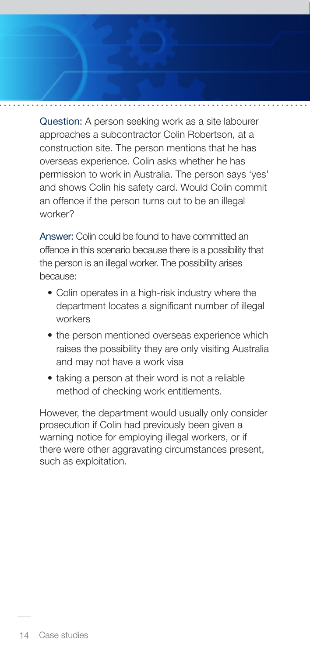Question: A person seeking work as a site labourer approaches a subcontractor Colin Robertson, at a construction site. The person mentions that he has overseas experience. Colin asks whether he has permission to work in Australia. The person says 'yes' and shows Colin his safety card. Would Colin commit an offence if the person turns out to be an illegal worker?

Answer: Colin could be found to have committed an offence in this scenario because there is a possibility that the person is an illegal worker. The possibility arises because:

- Colin operates in a high-risk industry where the department locates a significant number of illegal workers
- the person mentioned overseas experience which raises the possibility they are only visiting Australia and may not have a work visa
- taking a person at their word is not a reliable method of checking work entitlements.

However, the department would usually only consider prosecution if Colin had previously been given a warning notice for employing illegal workers, or if there were other aggravating circumstances present, such as exploitation.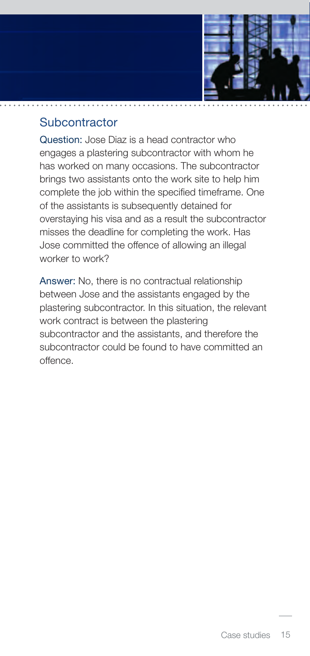

#### **Subcontractor**

Question: Jose Diaz is a head contractor who engages a plastering subcontractor with whom he has worked on many occasions. The subcontractor brings two assistants onto the work site to help him complete the job within the specified timeframe. One of the assistants is subsequently detained for overstaying his visa and as a result the subcontractor misses the deadline for completing the work. Has Jose committed the offence of allowing an illegal worker to work?

Answer: No, there is no contractual relationship between Jose and the assistants engaged by the plastering subcontractor. In this situation, the relevant work contract is between the plastering subcontractor and the assistants, and therefore the subcontractor could be found to have committed an offence.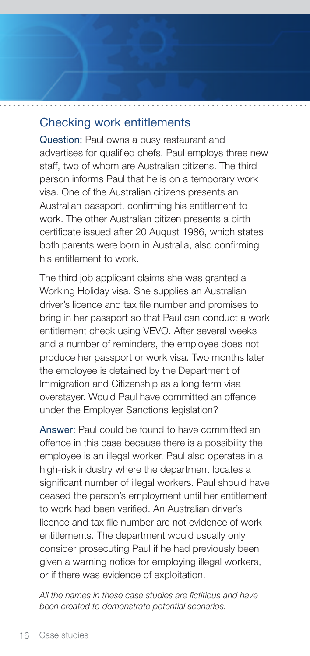#### Checking work entitlements

Question: Paul owns a busy restaurant and advertises for qualified chefs. Paul employs three new staff, two of whom are Australian citizens. The third person informs Paul that he is on a temporary work visa. One of the Australian citizens presents an Australian passport, confirming his entitlement to work. The other Australian citizen presents a birth certificate issued after 20 August 1986, which states both parents were born in Australia, also confirming his entitlement to work.

The third job applicant claims she was granted a Working Holiday visa. She supplies an Australian driver's licence and tax file number and promises to bring in her passport so that Paul can conduct a work entitlement check using VEVO. After several weeks and a number of reminders, the employee does not produce her passport or work visa. Two months later the employee is detained by the Department of Immigration and Citizenship as a long term visa overstayer. Would Paul have committed an offence under the Employer Sanctions legislation?

Answer: Paul could be found to have committed an offence in this case because there is a possibility the employee is an illegal worker. Paul also operates in a high-risk industry where the department locates a significant number of illegal workers. Paul should have ceased the person's employment until her entitlement to work had been verified. An Australian driver's licence and tax file number are not evidence of work entitlements. The department would usually only consider prosecuting Paul if he had previously been given a warning notice for employing illegal workers, or if there was evidence of exploitation.

*All the names in these case studies are fictitious and have been created to demonstrate potential scenarios.*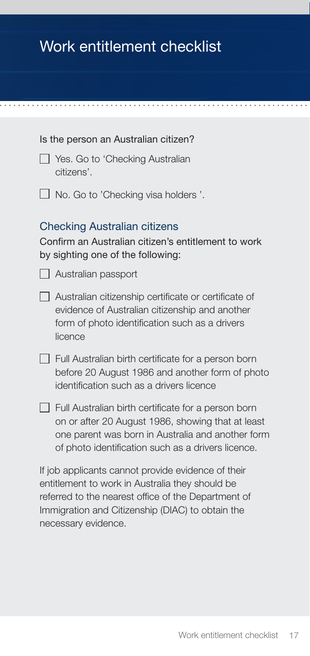## Work entitlement checklist

#### Is the person an Australian citizen?

- Yes. Go to 'Checking Australian citizens'.
- $\Box$  No. Go to 'Checking visa holders '.

#### Checking Australian citizens

Confirm an Australian citizen's entitlement to work by sighting one of the following:

- Australian passport
- Australian citizenship certificate or certificate of evidence of Australian citizenship and another form of photo identification such as a drivers licence
- Full Australian birth certificate for a person born before 20 August 1986 and another form of photo identification such as a drivers licence
- $\Box$  Full Australian birth certificate for a person born on or after 20 August 1986, showing that at least one parent was born in Australia and another form of photo identification such as a drivers licence.

If job applicants cannot provide evidence of their entitlement to work in Australia they should be referred to the nearest office of the Department of Immigration and Citizenship (DIAC) to obtain the necessary evidence.